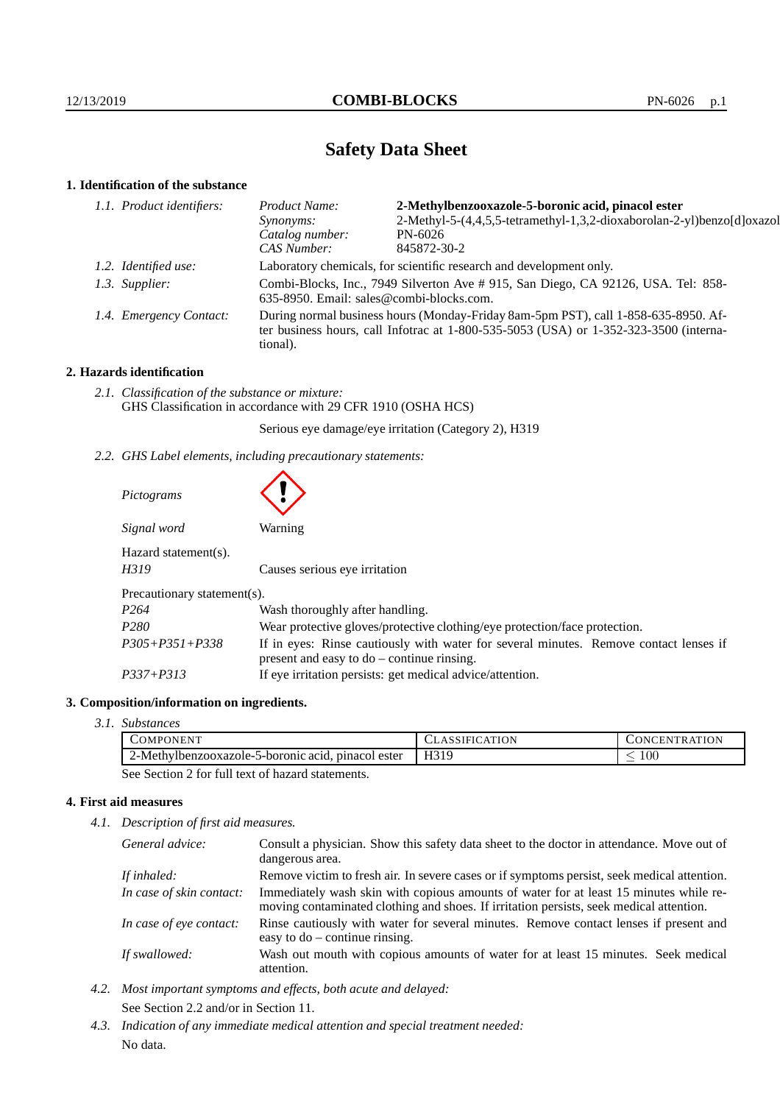# **Safety Data Sheet**

# **1. Identification of the substance**

| 2-Methylbenzooxazole-5-boronic acid, pinacol ester                                                                                                                                      |  |
|-----------------------------------------------------------------------------------------------------------------------------------------------------------------------------------------|--|
| 2-Methyl-5-(4,4,5,5-tetramethyl-1,3,2-dioxaborolan-2-yl)benzo[d]oxazol                                                                                                                  |  |
|                                                                                                                                                                                         |  |
|                                                                                                                                                                                         |  |
| Laboratory chemicals, for scientific research and development only.                                                                                                                     |  |
| Combi-Blocks, Inc., 7949 Silverton Ave # 915, San Diego, CA 92126, USA. Tel: 858-<br>635-8950. Email: sales@combi-blocks.com.                                                           |  |
| During normal business hours (Monday-Friday 8am-5pm PST), call 1-858-635-8950. Af-<br>ter business hours, call Infotrac at 1-800-535-5053 (USA) or 1-352-323-3500 (interna-<br>tional). |  |
|                                                                                                                                                                                         |  |

# **2. Hazards identification**

*2.1. Classification of the substance or mixture:* GHS Classification in accordance with 29 CFR 1910 (OSHA HCS)

Serious eye damage/eye irritation (Category 2), H319

*2.2. GHS Label elements, including precautionary statements:*

| Pictograms                      |                                                                                                                                       |
|---------------------------------|---------------------------------------------------------------------------------------------------------------------------------------|
| Signal word                     | Warning                                                                                                                               |
| $Hazard statement(s)$ .<br>H319 | Causes serious eye irritation                                                                                                         |
| Precautionary statement(s).     |                                                                                                                                       |
| P <sub>264</sub>                | Wash thoroughly after handling.                                                                                                       |
| P <sub>280</sub>                | Wear protective gloves/protective clothing/eye protection/face protection.                                                            |
| $P305 + P351 + P338$            | If in eyes: Rinse cautiously with water for several minutes. Remove contact lenses if<br>present and easy to $do$ – continue rinsing. |
| $P337 + P313$                   | If eye irritation persists: get medical advice/attention.                                                                             |

#### **3. Composition/information on ingredients.**

*3.1. Substances*

| COMPONENT                                          | <b>CLASSIFICATION</b> | <b>CONCENTRATION</b> |
|----------------------------------------------------|-----------------------|----------------------|
| 2-Methylbenzooxazole-5-boronic acid, pinacol ester | H319                  | $100\,$              |
|                                                    |                       |                      |

See Section 2 for full text of hazard statements.

# **4. First aid measures**

*4.1. Description of first aid measures.*

| General advice:          | Consult a physician. Show this safety data sheet to the doctor in attendance. Move out of<br>dangerous area.                                                                     |  |
|--------------------------|----------------------------------------------------------------------------------------------------------------------------------------------------------------------------------|--|
|                          |                                                                                                                                                                                  |  |
| If inhaled:              | Remove victim to fresh air. In severe cases or if symptoms persist, seek medical attention.                                                                                      |  |
| In case of skin contact: | Immediately wash skin with copious amounts of water for at least 15 minutes while re-<br>moving contaminated clothing and shoes. If irritation persists, seek medical attention. |  |
| In case of eye contact:  | Rinse cautiously with water for several minutes. Remove contact lenses if present and<br>easy to $do$ – continue rinsing.                                                        |  |
| If swallowed:            | Wash out mouth with copious amounts of water for at least 15 minutes. Seek medical<br>attention.                                                                                 |  |

- *4.2. Most important symptoms and effects, both acute and delayed:* See Section 2.2 and/or in Section 11.
- *4.3. Indication of any immediate medical attention and special treatment needed:* No data.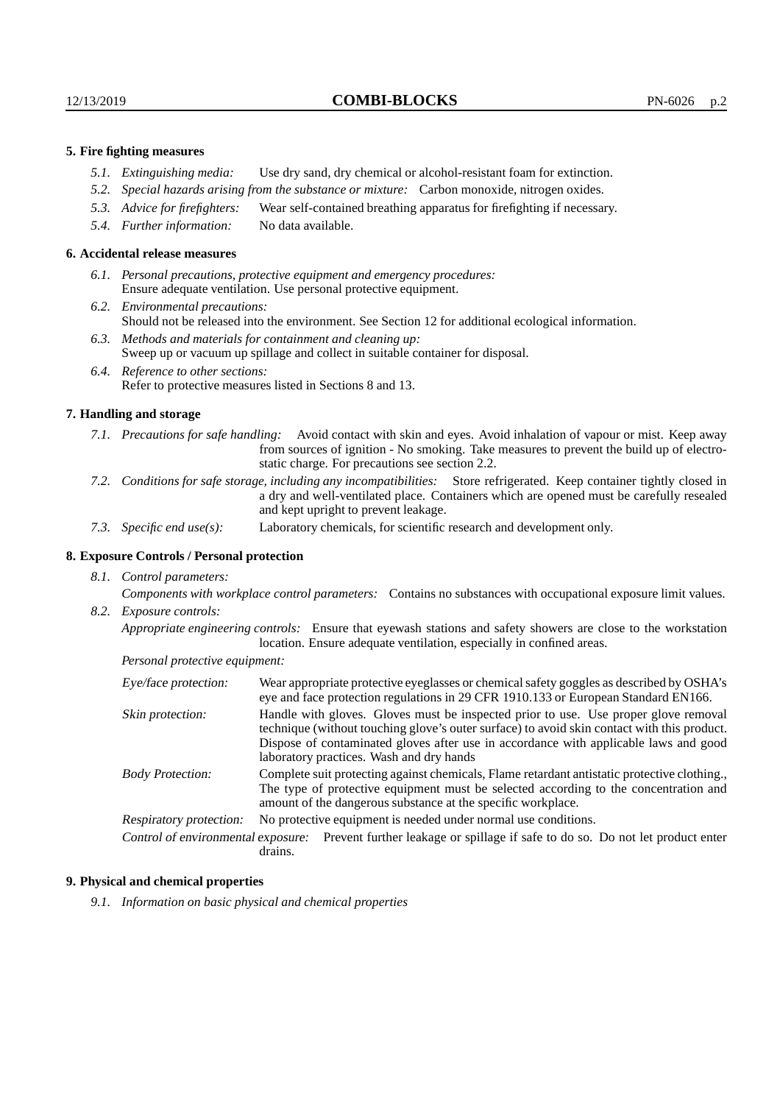### **5. Fire fighting measures**

- *5.1. Extinguishing media:* Use dry sand, dry chemical or alcohol-resistant foam for extinction.
- *5.2. Special hazards arising from the substance or mixture:* Carbon monoxide, nitrogen oxides.
- *5.3. Advice for firefighters:* Wear self-contained breathing apparatus for firefighting if necessary.
- *5.4. Further information:* No data available.

#### **6. Accidental release measures**

- *6.1. Personal precautions, protective equipment and emergency procedures:* Ensure adequate ventilation. Use personal protective equipment.
- *6.2. Environmental precautions:* Should not be released into the environment. See Section 12 for additional ecological information.
- *6.3. Methods and materials for containment and cleaning up:* Sweep up or vacuum up spillage and collect in suitable container for disposal.
- *6.4. Reference to other sections:* Refer to protective measures listed in Sections 8 and 13.

#### **7. Handling and storage**

- *7.1. Precautions for safe handling:* Avoid contact with skin and eyes. Avoid inhalation of vapour or mist. Keep away from sources of ignition - No smoking. Take measures to prevent the build up of electrostatic charge. For precautions see section 2.2.
- *7.2. Conditions for safe storage, including any incompatibilities:* Store refrigerated. Keep container tightly closed in a dry and well-ventilated place. Containers which are opened must be carefully resealed and kept upright to prevent leakage.
- *7.3. Specific end use(s):* Laboratory chemicals, for scientific research and development only.

# **8. Exposure Controls / Personal protection**

*8.1. Control parameters:*

*Components with workplace control parameters:* Contains no substances with occupational exposure limit values. *8.2. Exposure controls:*

*Appropriate engineering controls:* Ensure that eyewash stations and safety showers are close to the workstation location. Ensure adequate ventilation, especially in confined areas.

*Personal protective equipment:*

| Eye/face protection:    | Wear appropriate protective eyeglasses or chemical safety goggles as described by OSHA's<br>eye and face protection regulations in 29 CFR 1910.133 or European Standard EN166.                                                                                                                                         |  |
|-------------------------|------------------------------------------------------------------------------------------------------------------------------------------------------------------------------------------------------------------------------------------------------------------------------------------------------------------------|--|
| Skin protection:        | Handle with gloves. Gloves must be inspected prior to use. Use proper glove removal<br>technique (without touching glove's outer surface) to avoid skin contact with this product.<br>Dispose of contaminated gloves after use in accordance with applicable laws and good<br>laboratory practices. Wash and dry hands |  |
| <b>Body Protection:</b> | Complete suit protecting against chemicals, Flame retardant antistatic protective clothing.<br>The type of protective equipment must be selected according to the concentration and<br>amount of the dangerous substance at the specific workplace.                                                                    |  |
| Respiratory protection: | No protective equipment is needed under normal use conditions.                                                                                                                                                                                                                                                         |  |
|                         | Control of environmental exposure: Prevent further leakage or spillage if safe to do so. Do not let product enter<br>drains.                                                                                                                                                                                           |  |

#### **9. Physical and chemical properties**

*9.1. Information on basic physical and chemical properties*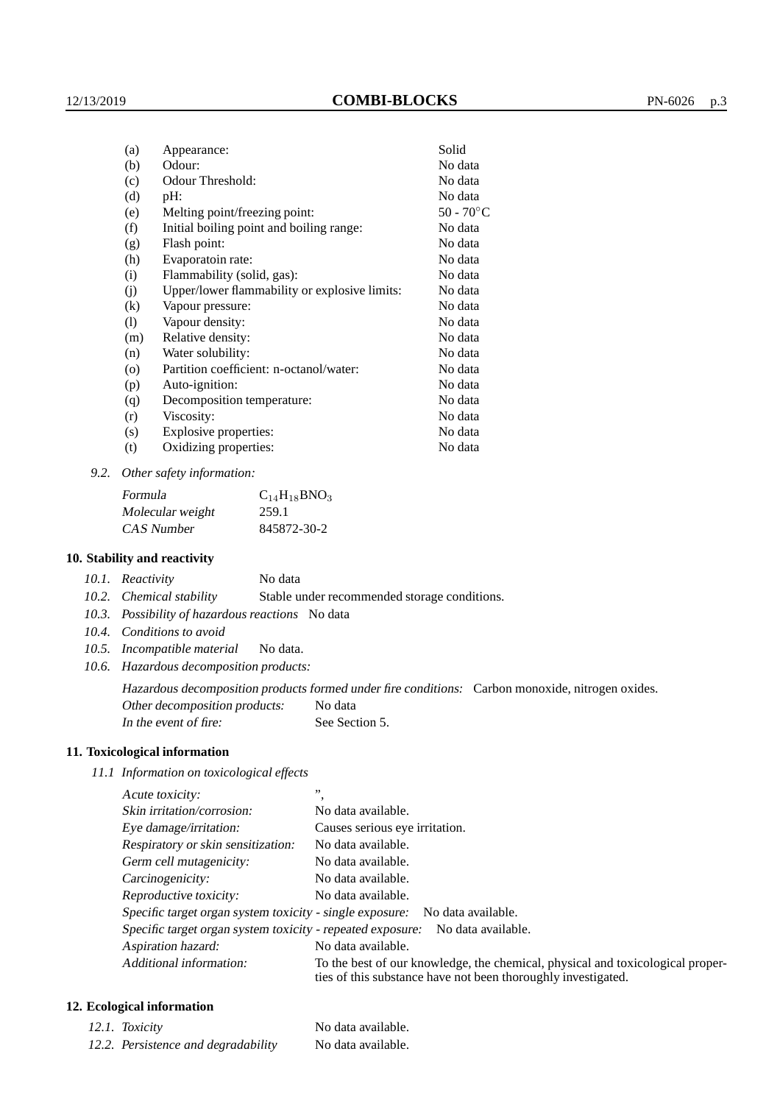| (a)      | Appearance:                                   | Solid        |
|----------|-----------------------------------------------|--------------|
| (b)      | Odour:                                        | No data      |
| (c)      | Odour Threshold:                              | No data      |
| (d)      | $pH$ :                                        | No data      |
| (e)      | Melting point/freezing point:                 | $50 - 70$ °C |
| (f)      | Initial boiling point and boiling range:      | No data      |
| (g)      | Flash point:                                  | No data      |
| (h)      | Evaporatoin rate:                             | No data      |
| (i)      | Flammability (solid, gas):                    | No data      |
| (j)      | Upper/lower flammability or explosive limits: | No data      |
| $\rm(k)$ | Vapour pressure:                              | No data      |
| (1)      | Vapour density:                               | No data      |
| (m)      | Relative density:                             | No data      |
| (n)      | Water solubility:                             | No data      |
| $\circ$  | Partition coefficient: n-octanol/water:       | No data      |
| (p)      | Auto-ignition:                                | No data      |
| (q)      | Decomposition temperature:                    | No data      |
| (r)      | Viscosity:                                    | No data      |
| (s)      | Explosive properties:                         | No data      |
| (t)      | Oxidizing properties:                         | No data      |

*9.2. Other safety information:*

| Formula          | $C_{14}H_{18}BNO_3$ |
|------------------|---------------------|
| Molecular weight | 259.1               |
| CAS Number       | 845872-30-2         |

#### **10. Stability and reactivity**

*10.2. Chemical stability* Stable under recommended storage conditions.

- *10.3. Possibility of hazardous reactions* No data
- *10.4. Conditions to avoid*
- *10.5. Incompatible material* No data.
- *10.6. Hazardous decomposition products:*

Hazardous decomposition products formed under fire conditions: Carbon monoxide, nitrogen oxides. Other decomposition products: No data

In the event of fire: See Section 5.

### **11. Toxicological information**

*11.1 Information on toxicological effects*

| Acute toxicity:                                            | , ,                                                                                                                                             |
|------------------------------------------------------------|-------------------------------------------------------------------------------------------------------------------------------------------------|
| Skin irritation/corrosion:                                 | No data available.                                                                                                                              |
| Eye damage/irritation:                                     | Causes serious eye irritation.                                                                                                                  |
| Respiratory or skin sensitization:                         | No data available.                                                                                                                              |
| Germ cell mutagenicity:                                    | No data available.                                                                                                                              |
| Carcinogenicity:                                           | No data available.                                                                                                                              |
| Reproductive toxicity:                                     | No data available.                                                                                                                              |
|                                                            | Specific target organ system toxicity - single exposure: No data available.                                                                     |
| Specific target organ system toxicity - repeated exposure: | No data available.                                                                                                                              |
| Aspiration hazard:                                         | No data available.                                                                                                                              |
| Additional information:                                    | To the best of our knowledge, the chemical, physical and toxicological proper-<br>ties of this substance have not been thoroughly investigated. |

# **12. Ecological information**

| 12.1. Toxicity                      | No data available. |
|-------------------------------------|--------------------|
| 12.2. Persistence and degradability | No data available. |